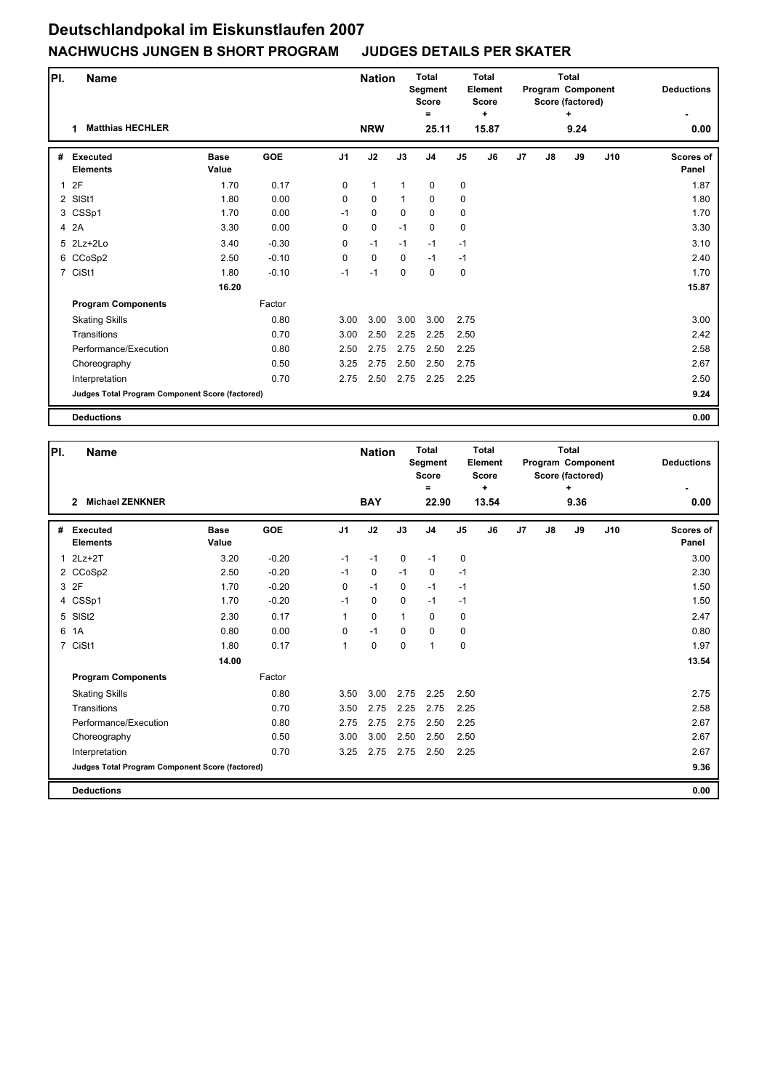| PI.          | Name                                            |                      |            |                | <b>Nation</b> |              | <b>Total</b><br><b>Segment</b><br><b>Score</b> |                | <b>Total</b><br><b>Element</b><br><b>Score</b> |                |    | <b>Total</b><br>Program Component<br>Score (factored) | <b>Deductions</b> |                    |
|--------------|-------------------------------------------------|----------------------|------------|----------------|---------------|--------------|------------------------------------------------|----------------|------------------------------------------------|----------------|----|-------------------------------------------------------|-------------------|--------------------|
|              | <b>Matthias HECHLER</b>                         |                      |            |                | <b>NRW</b>    |              | =<br>25.11                                     |                | ÷<br>15.87                                     |                |    | ٠<br>9.24                                             |                   | 0.00               |
|              |                                                 |                      |            |                |               |              |                                                |                |                                                |                |    |                                                       |                   |                    |
| #            | <b>Executed</b><br><b>Elements</b>              | <b>Base</b><br>Value | <b>GOE</b> | J <sub>1</sub> | J2            | J3           | J <sub>4</sub>                                 | J <sub>5</sub> | J6                                             | J <sub>7</sub> | J8 | J9                                                    | J10               | Scores of<br>Panel |
| $\mathbf{1}$ | 2F                                              | 1.70                 | 0.17       | $\mathbf 0$    | $\mathbf{1}$  | $\mathbf{1}$ | $\mathbf 0$                                    | 0              |                                                |                |    |                                                       |                   | 1.87               |
|              | 2 SISt1                                         | 1.80                 | 0.00       | 0              | $\mathbf 0$   | $\mathbf{1}$ | $\mathbf 0$                                    | $\mathbf 0$    |                                                |                |    |                                                       |                   | 1.80               |
|              | 3 CSSp1                                         | 1.70                 | 0.00       | $-1$           | $\mathbf 0$   | 0            | 0                                              | 0              |                                                |                |    |                                                       |                   | 1.70               |
|              | 4 2A                                            | 3.30                 | 0.00       | 0              | $\pmb{0}$     | $-1$         | 0                                              | 0              |                                                |                |    |                                                       |                   | 3.30               |
|              | 5 2Lz+2Lo                                       | 3.40                 | $-0.30$    | 0              | $-1$          | $-1$         | $-1$                                           | $-1$           |                                                |                |    |                                                       |                   | 3.10               |
|              | 6 CCoSp2                                        | 2.50                 | $-0.10$    | $\mathbf 0$    | $\mathbf 0$   | $\Omega$     | $-1$                                           | $-1$           |                                                |                |    |                                                       |                   | 2.40               |
|              | 7 CiSt1                                         | 1.80                 | $-0.10$    | $-1$           | $-1$          | $\mathbf 0$  | $\mathbf 0$                                    | 0              |                                                |                |    |                                                       |                   | 1.70               |
|              |                                                 | 16.20                |            |                |               |              |                                                |                |                                                |                |    |                                                       |                   | 15.87              |
|              | <b>Program Components</b>                       |                      | Factor     |                |               |              |                                                |                |                                                |                |    |                                                       |                   |                    |
|              | <b>Skating Skills</b>                           |                      | 0.80       | 3.00           | 3.00          | 3.00         | 3.00                                           | 2.75           |                                                |                |    |                                                       |                   | 3.00               |
|              | Transitions                                     |                      | 0.70       | 3.00           | 2.50          | 2.25         | 2.25                                           | 2.50           |                                                |                |    |                                                       |                   | 2.42               |
|              | Performance/Execution                           |                      | 0.80       | 2.50           | 2.75          | 2.75         | 2.50                                           | 2.25           |                                                |                |    |                                                       |                   | 2.58               |
|              | Choreography                                    |                      | 0.50       | 3.25           | 2.75          | 2.50         | 2.50                                           | 2.75           |                                                |                |    |                                                       |                   | 2.67               |
|              | Interpretation                                  |                      | 0.70       | 2.75           | 2.50          | 2.75         | 2.25                                           | 2.25           |                                                |                |    |                                                       |                   | 2.50               |
|              | Judges Total Program Component Score (factored) |                      |            |                |               |              |                                                |                |                                                |                |    |                                                       |                   | 9.24               |
|              | <b>Deductions</b>                               |                      |            |                |               |              |                                                |                |                                                |                |    |                                                       |                   | 0.00               |

| PI. | Name                                            |                      |            |                |             | <b>Nation</b> | <b>Total</b><br>Segment<br><b>Score</b><br>Ξ |                | Total<br>Element<br><b>Score</b><br>$\ddot{}$ |                |    | Total<br>Program Component<br>Score (factored)<br>٠ |     | <b>Deductions</b>         |
|-----|-------------------------------------------------|----------------------|------------|----------------|-------------|---------------|----------------------------------------------|----------------|-----------------------------------------------|----------------|----|-----------------------------------------------------|-----|---------------------------|
|     | <b>Michael ZENKNER</b><br>$\overline{2}$        |                      |            |                | <b>BAY</b>  |               | 22.90                                        |                | 13.54                                         |                |    | 9.36                                                |     | 0.00                      |
| #   | Executed<br><b>Elements</b>                     | <b>Base</b><br>Value | <b>GOE</b> | J <sub>1</sub> | J2          | J3            | J <sub>4</sub>                               | J <sub>5</sub> | J6                                            | J <sub>7</sub> | J8 | J9                                                  | J10 | <b>Scores of</b><br>Panel |
| 1   | $2Lz+2T$                                        | 3.20                 | $-0.20$    | $-1$           | $-1$        | $\mathbf 0$   | $-1$                                         | 0              |                                               |                |    |                                                     |     | 3.00                      |
|     | 2 CCoSp2                                        | 2.50                 | $-0.20$    | $-1$           | 0           | $-1$          | $\mathbf 0$                                  | $-1$           |                                               |                |    |                                                     |     | 2.30                      |
|     | 3 2F                                            | 1.70                 | $-0.20$    | 0              | $-1$        | $\mathbf 0$   | $-1$                                         | $-1$           |                                               |                |    |                                                     |     | 1.50                      |
|     | 4 CSSp1                                         | 1.70                 | $-0.20$    | $-1$           | $\mathbf 0$ | $\Omega$      | $-1$                                         | $-1$           |                                               |                |    |                                                     |     | 1.50                      |
|     | 5 SISt2                                         | 2.30                 | 0.17       | 1              | $\mathbf 0$ | $\mathbf{1}$  | $\Omega$                                     | $\mathbf 0$    |                                               |                |    |                                                     |     | 2.47                      |
| 6   | 1A                                              | 0.80                 | 0.00       | 0              | $-1$        | $\mathbf 0$   | $\mathbf 0$                                  | $\pmb{0}$      |                                               |                |    |                                                     |     | 0.80                      |
|     | 7 CiSt1                                         | 1.80                 | 0.17       | $\mathbf{1}$   | $\mathbf 0$ | $\mathbf 0$   | 1                                            | $\mathbf 0$    |                                               |                |    |                                                     |     | 1.97                      |
|     |                                                 | 14.00                |            |                |             |               |                                              |                |                                               |                |    |                                                     |     | 13.54                     |
|     | <b>Program Components</b>                       |                      | Factor     |                |             |               |                                              |                |                                               |                |    |                                                     |     |                           |
|     | <b>Skating Skills</b>                           |                      | 0.80       | 3.50           | 3.00        | 2.75          | 2.25                                         | 2.50           |                                               |                |    |                                                     |     | 2.75                      |
|     | Transitions                                     |                      | 0.70       | 3.50           | 2.75        | 2.25          | 2.75                                         | 2.25           |                                               |                |    |                                                     |     | 2.58                      |
|     | Performance/Execution                           |                      | 0.80       | 2.75           | 2.75        | 2.75          | 2.50                                         | 2.25           |                                               |                |    |                                                     |     | 2.67                      |
|     | Choreography                                    |                      | 0.50       | 3.00           | 3.00        | 2.50          | 2.50                                         | 2.50           |                                               |                |    |                                                     |     | 2.67                      |
|     | Interpretation                                  |                      | 0.70       | 3.25           | 2.75        | 2.75          | 2.50                                         | 2.25           |                                               |                |    |                                                     |     | 2.67                      |
|     | Judges Total Program Component Score (factored) |                      |            |                |             |               |                                              |                |                                               |                |    |                                                     |     | 9.36                      |
|     | <b>Deductions</b>                               |                      |            |                |             |               |                                              |                |                                               |                |    |                                                     |     | 0.00                      |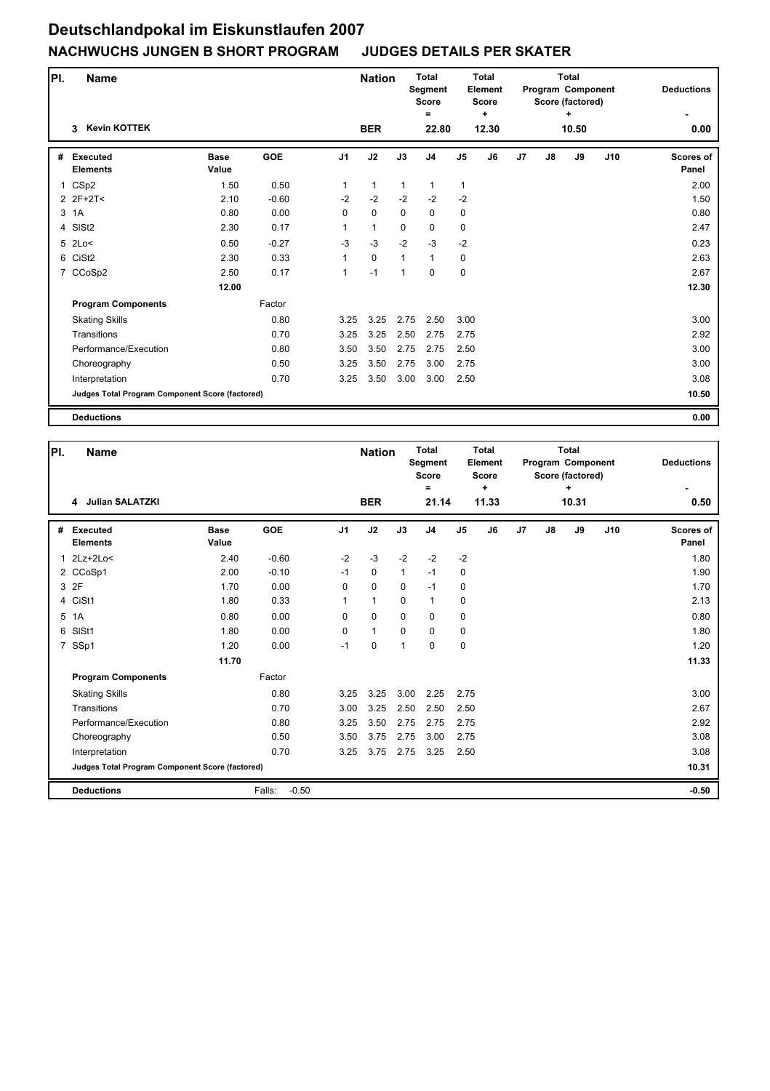| PI.            | <b>Name</b>                                     |                      |            |                | <b>Nation</b> |              | <b>Total</b><br>Segment<br><b>Score</b> |                | <b>Total</b><br><b>Element</b><br><b>Score</b> |                |               | <b>Total</b><br>Program Component<br>Score (factored) | <b>Deductions</b> |                           |
|----------------|-------------------------------------------------|----------------------|------------|----------------|---------------|--------------|-----------------------------------------|----------------|------------------------------------------------|----------------|---------------|-------------------------------------------------------|-------------------|---------------------------|
|                | <b>Kevin KOTTEK</b><br>3                        |                      |            |                | <b>BER</b>    |              | =<br>22.80                              |                | ÷<br>12.30                                     |                |               | ٠<br>10.50                                            |                   | 0.00                      |
| #              | <b>Executed</b><br><b>Elements</b>              | <b>Base</b><br>Value | <b>GOE</b> | J <sub>1</sub> | J2            | J3           | J <sub>4</sub>                          | J <sub>5</sub> | J6                                             | J <sub>7</sub> | $\mathsf{J}8$ | J9                                                    | J10               | <b>Scores of</b><br>Panel |
| $\mathbf{1}$   | CSp2                                            | 1.50                 | 0.50       | 1              | $\mathbf{1}$  | $\mathbf{1}$ | $\mathbf{1}$                            | 1              |                                                |                |               |                                                       |                   | 2.00                      |
|                | 2 2F+2T<                                        | 2.10                 | $-0.60$    | $-2$           | $-2$          | $-2$         | $-2$                                    | $-2$           |                                                |                |               |                                                       |                   | 1.50                      |
|                | 3 1A                                            | 0.80                 | 0.00       | $\Omega$       | $\mathbf 0$   | 0            | $\mathbf 0$                             | $\mathbf 0$    |                                                |                |               |                                                       |                   | 0.80                      |
| $\overline{4}$ | SISt <sub>2</sub>                               | 2.30                 | 0.17       | 1              | $\mathbf{1}$  | $\mathbf 0$  | $\mathbf 0$                             | $\mathbf 0$    |                                                |                |               |                                                       |                   | 2.47                      |
|                | $5$ 2Lo<                                        | 0.50                 | $-0.27$    | $-3$           | $-3$          | $-2$         | $-3$                                    | $-2$           |                                                |                |               |                                                       |                   | 0.23                      |
|                | 6 CiSt2                                         | 2.30                 | 0.33       | 1              | $\mathbf 0$   | $\mathbf{1}$ | $\mathbf{1}$                            | 0              |                                                |                |               |                                                       |                   | 2.63                      |
|                | 7 CCoSp2                                        | 2.50                 | 0.17       | 1              | $-1$          | $\mathbf{1}$ | 0                                       | 0              |                                                |                |               |                                                       |                   | 2.67                      |
|                |                                                 | 12.00                |            |                |               |              |                                         |                |                                                |                |               |                                                       |                   | 12.30                     |
|                | <b>Program Components</b>                       |                      | Factor     |                |               |              |                                         |                |                                                |                |               |                                                       |                   |                           |
|                | <b>Skating Skills</b>                           |                      | 0.80       | 3.25           | 3.25          | 2.75         | 2.50                                    | 3.00           |                                                |                |               |                                                       |                   | 3.00                      |
|                | Transitions                                     |                      | 0.70       | 3.25           | 3.25          | 2.50         | 2.75                                    | 2.75           |                                                |                |               |                                                       |                   | 2.92                      |
|                | Performance/Execution                           |                      | 0.80       | 3.50           | 3.50          | 2.75         | 2.75                                    | 2.50           |                                                |                |               |                                                       |                   | 3.00                      |
|                | Choreography                                    |                      | 0.50       | 3.25           | 3.50          | 2.75         | 3.00                                    | 2.75           |                                                |                |               |                                                       |                   | 3.00                      |
|                | Interpretation                                  |                      | 0.70       | 3.25           | 3.50          | 3.00         | 3.00                                    | 2.50           |                                                |                |               |                                                       |                   | 3.08                      |
|                | Judges Total Program Component Score (factored) |                      |            |                |               |              |                                         |                |                                                |                |               |                                                       |                   | 10.50                     |
|                | <b>Deductions</b>                               |                      |            |                |               |              |                                         |                |                                                |                |               |                                                       |                   | 0.00                      |

| PI. | <b>Name</b>                                            |                      |                   | <b>Nation</b>  | <b>Total</b><br>Segment<br><b>Score</b><br>Ξ |              | Total<br>Element<br><b>Score</b><br>$\ddot{}$ |                |       |                | Total<br>Program Component<br>Score (factored)<br>٠ |       | <b>Deductions</b> |                           |
|-----|--------------------------------------------------------|----------------------|-------------------|----------------|----------------------------------------------|--------------|-----------------------------------------------|----------------|-------|----------------|-----------------------------------------------------|-------|-------------------|---------------------------|
|     | 4 Julian SALATZKI                                      |                      |                   |                | <b>BER</b>                                   |              | 21.14                                         |                | 11.33 |                |                                                     | 10.31 |                   | 0.50                      |
| #   | Executed<br><b>Elements</b>                            | <b>Base</b><br>Value | <b>GOE</b>        | J <sub>1</sub> | J2                                           | J3           | J <sub>4</sub>                                | J <sub>5</sub> | J6    | J <sub>7</sub> | J8                                                  | J9    | J10               | <b>Scores of</b><br>Panel |
| 1   | 2Lz+2Lo<                                               | 2.40                 | $-0.60$           | $-2$           | $-3$                                         | $-2$         | $-2$                                          | $-2$           |       |                |                                                     |       |                   | 1.80                      |
|     | 2 CCoSp1                                               | 2.00                 | $-0.10$           | $-1$           | 0                                            | $\mathbf{1}$ | $-1$                                          | 0              |       |                |                                                     |       |                   | 1.90                      |
|     | 3 2F                                                   | 1.70                 | 0.00              | 0              | $\mathbf 0$                                  | $\mathbf 0$  | $-1$                                          | $\mathbf 0$    |       |                |                                                     |       |                   | 1.70                      |
|     | 4 CiSt1                                                | 1.80                 | 0.33              | 1              | $\mathbf{1}$                                 | $\Omega$     | $\mathbf{1}$                                  | 0              |       |                |                                                     |       |                   | 2.13                      |
| 5   | 1A                                                     | 0.80                 | 0.00              | 0              | 0                                            | $\Omega$     | $\Omega$                                      | $\pmb{0}$      |       |                |                                                     |       |                   | 0.80                      |
| 6   | SISt1                                                  | 1.80                 | 0.00              | 0              | $\mathbf{1}$                                 | $\mathbf 0$  | $\mathbf 0$                                   | $\pmb{0}$      |       |                |                                                     |       |                   | 1.80                      |
|     | 7 SSp1                                                 | 1.20                 | 0.00              | $-1$           | 0                                            | $\mathbf 1$  | $\Omega$                                      | $\mathbf 0$    |       |                |                                                     |       |                   | 1.20                      |
|     |                                                        | 11.70                |                   |                |                                              |              |                                               |                |       |                |                                                     |       |                   | 11.33                     |
|     | <b>Program Components</b>                              |                      | Factor            |                |                                              |              |                                               |                |       |                |                                                     |       |                   |                           |
|     | <b>Skating Skills</b>                                  |                      | 0.80              | 3.25           | 3.25                                         | 3.00         | 2.25                                          | 2.75           |       |                |                                                     |       |                   | 3.00                      |
|     | Transitions                                            |                      | 0.70              | 3.00           | 3.25                                         | 2.50         | 2.50                                          | 2.50           |       |                |                                                     |       |                   | 2.67                      |
|     | Performance/Execution                                  |                      | 0.80              | 3.25           | 3.50                                         | 2.75         | 2.75                                          | 2.75           |       |                |                                                     |       |                   | 2.92                      |
|     | Choreography                                           |                      | 0.50              | 3.50           | 3.75                                         | 2.75         | 3.00                                          | 2.75           |       |                |                                                     |       |                   | 3.08                      |
|     | Interpretation                                         |                      | 0.70              | 3.25           | 3.75                                         | 2.75         | 3.25                                          | 2.50           |       |                |                                                     |       |                   | 3.08                      |
|     | <b>Judges Total Program Component Score (factored)</b> |                      |                   |                |                                              |              |                                               |                |       |                |                                                     |       |                   | 10.31                     |
|     | <b>Deductions</b>                                      |                      | $-0.50$<br>Falls: |                |                                              |              |                                               |                |       |                |                                                     |       |                   | $-0.50$                   |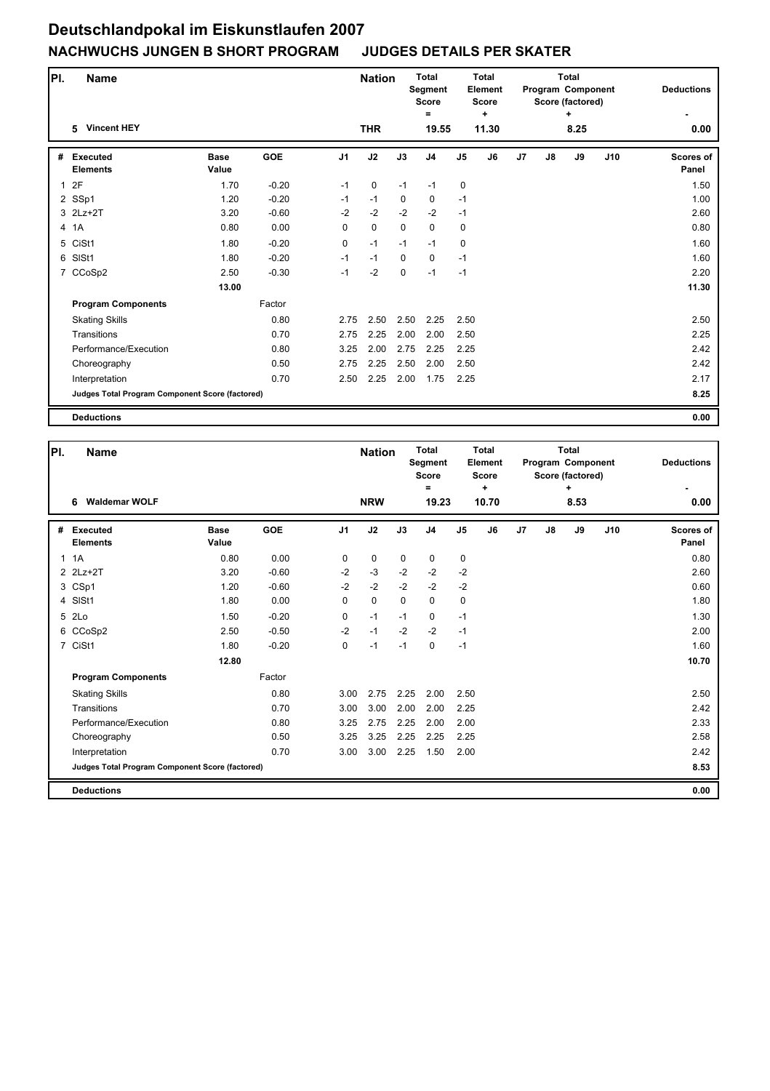| PI.          | Name                                            |                      |            |                | <b>Nation</b> |             | <b>Total</b><br>Segment<br><b>Score</b> |                | Total<br>Element<br><b>Score</b><br>÷ |                |    | <b>Total</b><br>Program Component<br>Score (factored) | <b>Deductions</b> |                    |
|--------------|-------------------------------------------------|----------------------|------------|----------------|---------------|-------------|-----------------------------------------|----------------|---------------------------------------|----------------|----|-------------------------------------------------------|-------------------|--------------------|
|              | <b>Vincent HEY</b><br>5.                        |                      |            |                | <b>THR</b>    |             | =<br>19.55                              | 11.30          |                                       |                |    | ÷<br>8.25                                             |                   | 0.00               |
| #            | <b>Executed</b><br><b>Elements</b>              | <b>Base</b><br>Value | <b>GOE</b> | J <sub>1</sub> | J2            | J3          | J <sub>4</sub>                          | J <sub>5</sub> | J6                                    | J <sub>7</sub> | J8 | J9                                                    | J10               | Scores of<br>Panel |
| $\mathbf{1}$ | 2F                                              | 1.70                 | $-0.20$    | $-1$           | $\mathbf 0$   | $-1$        | $-1$                                    | $\mathbf 0$    |                                       |                |    |                                                       |                   | 1.50               |
|              | 2 SSp1                                          | 1.20                 | $-0.20$    | $-1$           | $-1$          | 0           | 0                                       | $-1$           |                                       |                |    |                                                       |                   | 1.00               |
|              | 3 2Lz+2T                                        | 3.20                 | $-0.60$    | $-2$           | $-2$          | $-2$        | $-2$                                    | $-1$           |                                       |                |    |                                                       |                   | 2.60               |
|              | 4 1A                                            | 0.80                 | 0.00       | 0              | 0             | $\mathbf 0$ | 0                                       | 0              |                                       |                |    |                                                       |                   | 0.80               |
|              | 5 CiSt1                                         | 1.80                 | $-0.20$    | $\mathbf 0$    | $-1$          | $-1$        | $-1$                                    | 0              |                                       |                |    |                                                       |                   | 1.60               |
| 6            | SISt1                                           | 1.80                 | $-0.20$    | $-1$           | $-1$          | $\Omega$    | 0                                       | $-1$           |                                       |                |    |                                                       |                   | 1.60               |
|              | 7 CCoSp2                                        | 2.50                 | $-0.30$    | $-1$           | $-2$          | 0           | $-1$                                    | $-1$           |                                       |                |    |                                                       |                   | 2.20               |
|              |                                                 | 13.00                |            |                |               |             |                                         |                |                                       |                |    |                                                       |                   | 11.30              |
|              | <b>Program Components</b>                       |                      | Factor     |                |               |             |                                         |                |                                       |                |    |                                                       |                   |                    |
|              | <b>Skating Skills</b>                           |                      | 0.80       | 2.75           | 2.50          | 2.50        | 2.25                                    | 2.50           |                                       |                |    |                                                       |                   | 2.50               |
|              | Transitions                                     |                      | 0.70       | 2.75           | 2.25          | 2.00        | 2.00                                    | 2.50           |                                       |                |    |                                                       |                   | 2.25               |
|              | Performance/Execution                           |                      | 0.80       | 3.25           | 2.00          | 2.75        | 2.25                                    | 2.25           |                                       |                |    |                                                       |                   | 2.42               |
|              | Choreography                                    |                      | 0.50       | 2.75           | 2.25          | 2.50        | 2.00                                    | 2.50           |                                       |                |    |                                                       |                   | 2.42               |
|              | Interpretation                                  |                      | 0.70       | 2.50           | 2.25          | 2.00        | 1.75                                    | 2.25           |                                       |                |    |                                                       |                   | 2.17               |
|              | Judges Total Program Component Score (factored) |                      |            |                |               |             |                                         |                |                                       |                |    |                                                       |                   | 8.25               |
|              | <b>Deductions</b>                               |                      |            |                |               |             |                                         |                |                                       |                |    |                                                       |                   | 0.00               |

| PI.          | <b>Name</b>                                     |                      |            |                | <b>Nation</b> |             | <b>Total</b><br><b>Segment</b><br><b>Score</b><br>Ξ |                | Total<br><b>Element</b><br>Score<br>٠ |    |    | <b>Total</b><br>Program Component<br>Score (factored)<br>٠ |     | <b>Deductions</b>         |
|--------------|-------------------------------------------------|----------------------|------------|----------------|---------------|-------------|-----------------------------------------------------|----------------|---------------------------------------|----|----|------------------------------------------------------------|-----|---------------------------|
|              | <b>Waldemar WOLF</b><br>6                       |                      |            |                | <b>NRW</b>    |             | 19.23                                               |                | 10.70                                 |    |    | 8.53                                                       |     | 0.00                      |
| #            | <b>Executed</b><br><b>Elements</b>              | <b>Base</b><br>Value | <b>GOE</b> | J <sub>1</sub> | J2            | J3          | J <sub>4</sub>                                      | J <sub>5</sub> | J6                                    | J7 | J8 | J9                                                         | J10 | <b>Scores of</b><br>Panel |
| $\mathbf{1}$ | 1A                                              | 0.80                 | 0.00       | $\mathbf 0$    | $\mathbf 0$   | $\mathbf 0$ | 0                                                   | 0              |                                       |    |    |                                                            |     | 0.80                      |
|              | 2 2Lz+2T                                        | 3.20                 | $-0.60$    | $-2$           | $-3$          | $-2$        | $-2$                                                | $-2$           |                                       |    |    |                                                            |     | 2.60                      |
|              | 3 CSp1                                          | 1.20                 | $-0.60$    | $-2$           | $-2$          | $-2$        | $-2$                                                | $-2$           |                                       |    |    |                                                            |     | 0.60                      |
|              | 4 SISt1                                         | 1.80                 | 0.00       | 0              | $\mathbf 0$   | $\mathbf 0$ | 0                                                   | 0              |                                       |    |    |                                                            |     | 1.80                      |
|              | 5 2Lo                                           | 1.50                 | $-0.20$    | 0              | $-1$          | $-1$        | 0                                                   | $-1$           |                                       |    |    |                                                            |     | 1.30                      |
|              | 6 CCoSp2                                        | 2.50                 | $-0.50$    | $-2$           | $-1$          | $-2$        | $-2$                                                | $-1$           |                                       |    |    |                                                            |     | 2.00                      |
|              | 7 CiSt1                                         | 1.80                 | $-0.20$    | $\Omega$       | $-1$          | $-1$        | $\Omega$                                            | $-1$           |                                       |    |    |                                                            |     | 1.60                      |
|              |                                                 | 12.80                |            |                |               |             |                                                     |                |                                       |    |    |                                                            |     | 10.70                     |
|              | <b>Program Components</b>                       |                      | Factor     |                |               |             |                                                     |                |                                       |    |    |                                                            |     |                           |
|              | <b>Skating Skills</b>                           |                      | 0.80       | 3.00           | 2.75          | 2.25        | 2.00                                                | 2.50           |                                       |    |    |                                                            |     | 2.50                      |
|              | Transitions                                     |                      | 0.70       | 3.00           | 3.00          | 2.00        | 2.00                                                | 2.25           |                                       |    |    |                                                            |     | 2.42                      |
|              | Performance/Execution                           |                      | 0.80       | 3.25           | 2.75          | 2.25        | 2.00                                                | 2.00           |                                       |    |    |                                                            |     | 2.33                      |
|              | Choreography                                    |                      | 0.50       | 3.25           | 3.25          | 2.25        | 2.25                                                | 2.25           |                                       |    |    |                                                            |     | 2.58                      |
|              | Interpretation                                  |                      | 0.70       | 3.00           | 3.00          | 2.25        | 1.50                                                | 2.00           |                                       |    |    |                                                            |     | 2.42                      |
|              | Judges Total Program Component Score (factored) |                      |            |                |               |             |                                                     |                |                                       |    |    |                                                            |     | 8.53                      |
|              | <b>Deductions</b>                               |                      |            |                |               |             |                                                     |                |                                       |    |    |                                                            |     | 0.00                      |